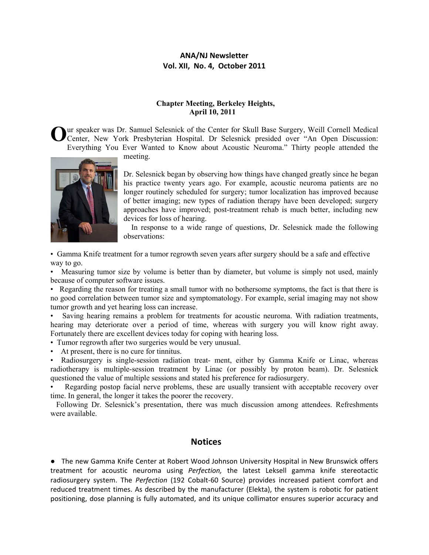# **ANA/NJ Newsletter Vol. XII, No. 4, October 2011**

## **Chapter Meeting, Berkeley Heights, April 10, 2011**

Our speaker was Dr. Samuel Selesnick of the Center for Skull Base Surgery, Weill Cornell Medical Center, New York Presbyterian Hospital. Dr Selesnick presided over "An Open Discussion: Center, New York Presbyterian Hospital. Dr Selesnick presided over "An Open Discussion: Everything You Ever Wanted to Know about Acoustic Neuroma." Thirty people attended the

meeting.



Dr. Selesnick began by observing how things have changed greatly since he began his practice twenty years ago. For example, acoustic neuroma patients are no longer routinely scheduled for surgery; tumor localization has improved because of better imaging; new types of radiation therapy have been developed; surgery approaches have improved; post-treatment rehab is much better, including new devices for loss of hearing.

 In response to a wide range of questions, Dr. Selesnick made the following observations:

• Gamma Knife treatment for a tumor regrowth seven years after surgery should be a safe and effective way to go.

• Measuring tumor size by volume is better than by diameter, but volume is simply not used, mainly because of computer software issues.

• Regarding the reason for treating a small tumor with no bothersome symptoms, the fact is that there is no good correlation between tumor size and symptomatology. For example, serial imaging may not show tumor growth and yet hearing loss can increase.

• Saving hearing remains a problem for treatments for acoustic neuroma. With radiation treatments, hearing may deteriorate over a period of time, whereas with surgery you will know right away. Fortunately there are excellent devices today for coping with hearing loss.

• Tumor regrowth after two surgeries would be very unusual.

At present, there is no cure for tinnitus.

• Radiosurgery is single-session radiation treat- ment, either by Gamma Knife or Linac, whereas radiotherapy is multiple-session treatment by Linac (or possibly by proton beam). Dr. Selesnick questioned the value of multiple sessions and stated his preference for radiosurgery.

Regarding postop facial nerve problems, these are usually transient with acceptable recovery over time. In general, the longer it takes the poorer the recovery.

 Following Dr. Selesnick's presentation, there was much discussion among attendees. Refreshments were available.

## **Notices**

**●** The new Gamma Knife Center at Robert Wood Johnson University Hospital in New Brunswick offers treatment for acoustic neuroma using *Perfection,* the latest Leksell gamma knife stereotactic radiosurgery system. The *Perfection* (192 Cobalt‐60 Source) provides increased patient comfort and reduced treatment times. As described by the manufacturer (Elekta), the system is robotic for patient positioning, dose planning is fully automated, and its unique collimator ensures superior accuracy and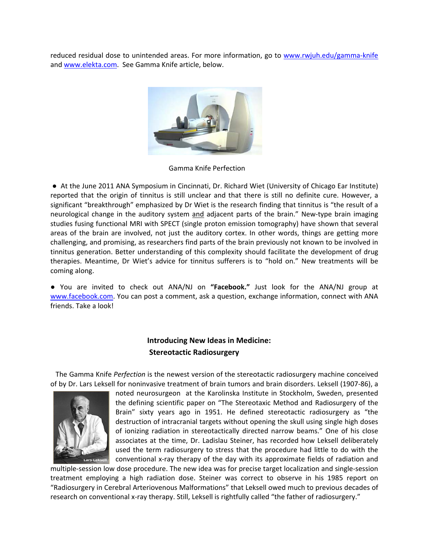reduced residual dose to unintended areas. For more information, go to www.rwjuh.edu/gamma‐knife and www.elekta.com. See Gamma Knife article, below.



Gamma Knife Perfection

● At the June 2011 ANA Symposium in Cincinnati, Dr. Richard Wiet (University of Chicago Ear Institute) reported that the origin of tinnitus is still unclear and that there is still no definite cure. However, a significant "breakthrough" emphasized by Dr Wiet is the research finding that tinnitus is "the result of a neurological change in the auditory system and adjacent parts of the brain." New‐type brain imaging studies fusing functional MRI with SPECT (single proton emission tomography) have shown that several areas of the brain are involved, not just the auditory cortex. In other words, things are getting more challenging, and promising, as researchers find parts of the brain previously not known to be involved in tinnitus generation. Better understanding of this complexity should facilitate the development of drug therapies. Meantime, Dr Wiet's advice for tinnitus sufferers is to "hold on." New treatments will be coming along.

● You are invited to check out ANA/NJ on **"Facebook."** Just look for the ANA/NJ group at www.facebook.com. You can post a comment, ask a question, exchange information, connect with ANA friends. Take a look!

# **Introducing New Ideas in Medicine: Stereotactic Radiosurgery**

 The Gamma Knife *Perfection* is the newest version of the stereotactic radiosurgery machine conceived of by Dr. Lars Leksell for noninvasive treatment of brain tumors and brain disorders. Leksell (1907‐86), a



noted neurosurgeon at the Karolinska Institute in Stockholm, Sweden, presented the defining scientific paper on "The Stereotaxic Method and Radiosurgery of the Brain" sixty years ago in 1951. He defined stereotactic radiosurgery as "the destruction of intracranial targets without opening the skull using single high doses of ionizing radiation in stereotactically directed narrow beams." One of his close associates at the time, Dr. Ladislau Steiner, has recorded how Leksell deliberately used the term radiosurgery to stress that the procedure had little to do with the conventional x‐ray therapy of the day with its approximate fields of radiation and

multiple‐session low dose procedure. The new idea was for precise target localization and single‐session treatment employing a high radiation dose. Steiner was correct to observe in his 1985 report on "Radiosurgery in Cerebral Arteriovenous Malformations" that Leksell owed much to previous decades of research on conventional x‐ray therapy. Still, Leksell is rightfully called "the father of radiosurgery."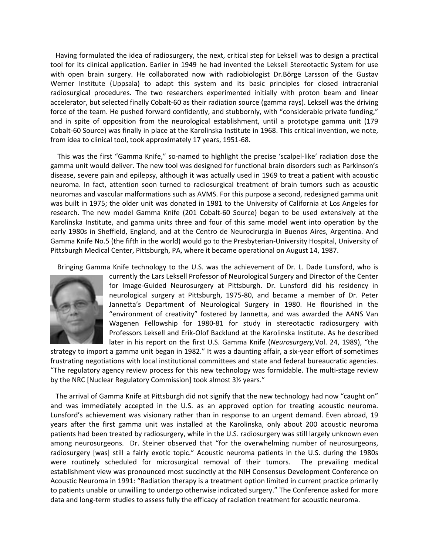Having formulated the idea of radiosurgery, the next, critical step for Leksell was to design a practical tool for its clinical application. Earlier in 1949 he had invented the Leksell Stereotactic System for use with open brain surgery. He collaborated now with radiobiologist Dr.Börge Larsson of the Gustav Werner Institute (Uppsala) to adapt this system and its basic principles for closed intracranial radiosurgical procedures. The two researchers experimented initially with proton beam and linear accelerator, but selected finally Cobalt‐60 as their radiation source (gamma rays). Leksell was the driving force of the team. He pushed forward confidently, and stubbornly, with "considerable private funding," and in spite of opposition from the neurological establishment, until a prototype gamma unit (179 Cobalt‐60 Source) was finally in place at the Karolinska Institute in 1968. This critical invention, we note, from idea to clinical tool, took approximately 17 years, 1951‐68.

 This was the first "Gamma Knife," so‐named to highlight the precise 'scalpel‐like' radiation dose the gamma unit would deliver. The new tool was designed for functional brain disorders such as Parkinson's disease, severe pain and epilepsy, although it was actually used in 1969 to treat a patient with acoustic neuroma. In fact, attention soon turned to radiosurgical treatment of brain tumors such as acoustic neuromas and vascular malformations such as AVMS. For this purpose a second, redesigned gamma unit was built in 1975; the older unit was donated in 1981 to the University of California at Los Angeles for research. The new model Gamma Knife (201 Cobalt‐60 Source) began to be used extensively at the Karolinska Institute, and gamma units three and four of this same model went into operation by the early 1980s in Sheffield, England, and at the Centro de Neurocirurgia in Buenos Aires, Argentina. And Gamma Knife No.5 (the fifth in the world) would go to the Presbyterian‐University Hospital, University of Pittsburgh Medical Center, Pittsburgh, PA, where it became operational on August 14, 1987.

Bringing Gamma Knife technology to the U.S. was the achievement of Dr. L. Dade Lunsford, who is



currently the Lars Leksell Professor of Neurological Surgery and Director of the Center for Image‐Guided Neurosurgery at Pittsburgh. Dr. Lunsford did his residency in neurological surgery at Pittsburgh, 1975‐80, and became a member of Dr. Peter Jannetta's Department of Neurological Surgery in 1980. He flourished in the "environment of creativity" fostered by Jannetta, and was awarded the AANS Van Wagenen Fellowship for 1980‐81 for study in stereotactic radiosurgery with Professors Leksell and Erik‐Olof Backlund at the Karolinska Institute. As he described later in his report on the first U.S. Gamma Knife (*Neurosurgery,*Vol. 24, 1989), "the

strategy to import a gamma unit began in 1982." It was a daunting affair, a six‐year effort of sometimes frustrating negotiations with local institutional committees and state and federal bureaucratic agencies. "The regulatory agency review process for this new technology was formidable. The multi‐stage review by the NRC [Nuclear Regulatory Commission] took almost 3½ years."

 The arrival of Gamma Knife at Pittsburgh did not signify that the new technology had now "caught on" and was immediately accepted in the U.S. as an approved option for treating acoustic neuroma. Lunsford's achievement was visionary rather than in response to an urgent demand. Even abroad, 19 years after the first gamma unit was installed at the Karolinska, only about 200 acoustic neuroma patients had been treated by radiosurgery, while in the U.S. radiosurgery was still largely unknown even among neurosurgeons. Dr. Steiner observed that "for the overwhelming number of neurosurgeons, radiosurgery [was] still a fairly exotic topic." Acoustic neuroma patients in the U.S. during the 1980s were routinely scheduled for microsurgical removal of their tumors. The prevailing medical establishment view was pronounced most succinctly at the NIH Consensus Development Conference on Acoustic Neuroma in 1991: "Radiation therapy is a treatment option limited in current practice primarily to patients unable or unwilling to undergo otherwise indicated surgery." The Conference asked for more data and long-term studies to assess fully the efficacy of radiation treatment for acoustic neuroma.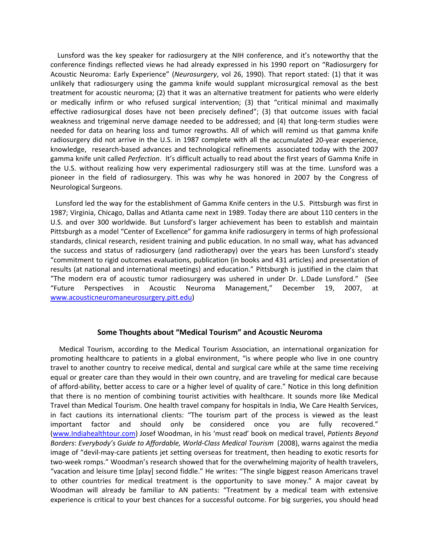Lunsford was the key speaker for radiosurgery at the NIH conference, and it's noteworthy that the conference findings reflected views he had already expressed in his 1990 report on "Radiosurgery for Acoustic Neuroma: Early Experience" (*Neurosurgery*, vol 26, 1990). That report stated: (1) that it was unlikely that radiosurgery using the gamma knife would supplant microsurgical removal as the best treatment for acoustic neuroma; (2) that it was an alternative treatment for patients who were elderly or medically infirm or who refused surgical intervention; (3) that "critical minimal and maximally effective radiosurgical doses have not been precisely defined"; (3) that outcome issues with facial weakness and trigeminal nerve damage needed to be addressed; and (4) that long-term studies were needed for data on hearing loss and tumor regrowths. All of which will remind us that gamma knife radiosurgery did not arrive in the U.S. in 1987 complete with all the accumulated 20‐year experience, knowledge, research-based advances and technological refinements associated today with the 2007 gamma knife unit called *Perfection*. It's difficult actually to read about the first years of Gamma Knife in the U.S. without realizing how very experimental radiosurgery still was at the time. Lunsford was a pioneer in the field of radiosurgery. This was why he was honored in 2007 by the Congress of Neurological Surgeons.

 Lunsford led the way for the establishment of Gamma Knife centers in the U.S. Pittsburgh was first in 1987; Virginia, Chicago, Dallas and Atlanta came next in 1989. Today there are about 110 centers in the U.S. and over 300 worldwide. But Lunsford's larger achievement has been to establish and maintain Pittsburgh as a model "Center of Excellence" for gamma knife radiosurgery in terms of high professional standards, clinical research, resident training and public education. In no small way, what has advanced the success and status of radiosurgery (and radiotherapy) over the years has been Lunsford's steady "commitment to rigid outcomes evaluations, publication (in books and 431 articles) and presentation of results (at national and international meetings) and education." Pittsburgh is justified in the claim that "The modern era of acoustic tumor radiosurgery was ushered in under Dr. L.Dade Lunsford." (See "Future Perspectives in Acoustic Neuroma Management," December 19, 2007, at www.acousticneuromaneurosurgery.pitt.edu)

## **Some Thoughts about "Medical Tourism" and Acoustic Neuroma**

 Medical Tourism, according to the Medical Tourism Association, an international organization for promoting healthcare to patients in a global environment, "is where people who live in one country travel to another country to receive medical, dental and surgical care while at the same time receiving equal or greater care than they would in their own country, and are traveling for medical care because of afford‐ability, better access to care or a higher level of quality of care." Notice in this long definition that there is no mention of combining tourist activities with healthcare. It sounds more like Medical Travel than Medical Tourism. One health travel company for hospitals in India, We Care Health Services, in fact cautions its international clients: "The tourism part of the process is viewed as the least important factor and should only be considered once you are fully recovered." (www.Indiahealthtour.com) Josef Woodman, in his 'must read' book on medical travel, *Patients Beyond Borders*: *Everybody's Guide to Affordable, World‐Class Medical Tourism* (2008), warns against the media image of "devil‐may‐care patients jet setting overseas for treatment, then heading to exotic resorts for two‐week romps." Woodman's research showed that for the overwhelming majority of health travelers, "vacation and leisure time [play] second fiddle." He writes: "The single biggest reason Americans travel to other countries for medical treatment is the opportunity to save money." A major caveat by Woodman will already be familiar to AN patients: "Treatment by a medical team with extensive experience is critical to your best chances for a successful outcome. For big surgeries, you should head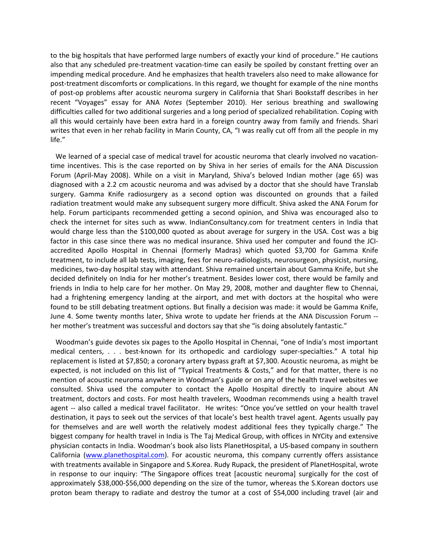to the big hospitals that have performed large numbers of exactly your kind of procedure." He cautions also that any scheduled pre‐treatment vacation‐time can easily be spoiled by constant fretting over an impending medical procedure. And he emphasizes that health travelers also need to make allowance for post-treatment discomforts or complications. In this regard, we thought for example of the nine months of post‐op problems after acoustic neuroma surgery in California that Shari Bookstaff describes in her recent "Voyages" essay for ANA *Notes* (September 2010). Her serious breathing and swallowing difficulties called for two additional surgeries and a long period of specialized rehabilitation. Coping with all this would certainly have been extra hard in a foreign country away from family and friends. Shari writes that even in her rehab facility in Marin County, CA, "I was really cut off from all the people in my life."

We learned of a special case of medical travel for acoustic neuroma that clearly involved no vacationtime incentives. This is the case reported on by Shiva in her series of emails for the ANA Discussion Forum (April‐May 2008). While on a visit in Maryland, Shiva's beloved Indian mother (age 65) was diagnosed with a 2.2 cm acoustic neuroma and was advised by a doctor that she should have Translab surgery. Gamma Knife radiosurgery as a second option was discounted on grounds that a failed radiation treatment would make any subsequent surgery more difficult. Shiva asked the ANA Forum for help. Forum participants recommended getting a second opinion, and Shiva was encouraged also to check the internet for sites such as www. IndianConsultancy.com for treatment centers in India that would charge less than the \$100,000 quoted as about average for surgery in the USA. Cost was a big factor in this case since there was no medical insurance. Shiva used her computer and found the JCIaccredited Apollo Hospital in Chennai (formerly Madras) which quoted \$3,700 for Gamma Knife treatment, to include all lab tests, imaging, fees for neuro-radiologists, neurosurgeon, physicist, nursing, medicines, two‐day hospital stay with attendant. Shiva remained uncertain about Gamma Knife, but she decided definitely on India for her mother's treatment. Besides lower cost, there would be family and friends in India to help care for her mother. On May 29, 2008, mother and daughter flew to Chennai, had a frightening emergency landing at the airport, and met with doctors at the hospital who were found to be still debating treatment options. But finally a decision was made: it would be Gamma Knife, June 4. Some twenty months later, Shiva wrote to update her friends at the ANA Discussion Forum ‐‐ her mother's treatment was successful and doctors say that she "is doing absolutely fantastic."

 Woodman's guide devotes six pages to the Apollo Hospital in Chennai, "one of India's most important medical centers, . . . best-known for its orthopedic and cardiology super-specialties." A total hip replacement is listed at \$7,850; a coronary artery bypass graft at \$7,300. Acoustic neuroma, as might be expected, is not included on this list of "Typical Treatments & Costs," and for that matter, there is no mention of acoustic neuroma anywhere in Woodman's guide or on any of the health travel websites we consulted. Shiva used the computer to contact the Apollo Hospital directly to inquire about AN treatment, doctors and costs. For most health travelers, Woodman recommends using a health travel agent -- also called a medical travel facilitator. He writes: "Once you've settled on your health travel destination, it pays to seek out the services of that locale's best health travel agent. Agents usually pay for themselves and are well worth the relatively modest additional fees they typically charge." The biggest company for health travel in India is The Taj Medical Group, with offices in NYCity and extensive physician contacts in India. Woodman's book also lists PlanetHospital, a US‐based company in southern California (www.planethospital.com). For acoustic neuroma, this company currently offers assistance with treatments available in Singapore and S.Korea. Rudy Rupack, the president of PlanetHospital, wrote in response to our inquiry: "The Singapore offices treat [acoustic neuroma] surgically for the cost of approximately \$38,000‐\$56,000 depending on the size of the tumor, whereas the S.Korean doctors use proton beam therapy to radiate and destroy the tumor at a cost of \$54,000 including travel (air and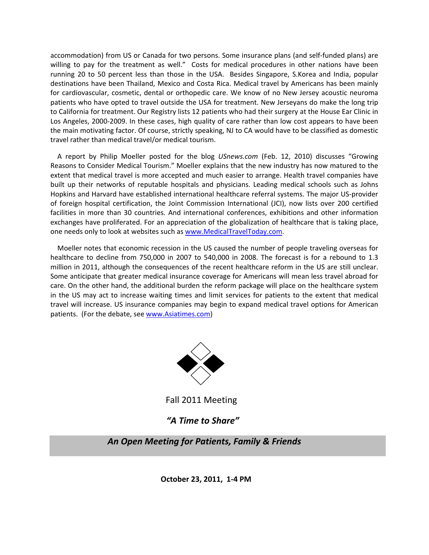accommodation) from US or Canada for two persons. Some insurance plans (and self‐funded plans) are willing to pay for the treatment as well." Costs for medical procedures in other nations have been running 20 to 50 percent less than those in the USA. Besides Singapore, S.Korea and India, popular destinations have been Thailand, Mexico and Costa Rica. Medical travel by Americans has been mainly for cardiovascular, cosmetic, dental or orthopedic care. We know of no New Jersey acoustic neuroma patients who have opted to travel outside the USA for treatment. New Jerseyans do make the long trip to California for treatment. Our Registry lists 12 patients who had their surgery at the House Ear Clinic in Los Angeles, 2000-2009. In these cases, high quality of care rather than low cost appears to have been the main motivating factor. Of course, strictly speaking, NJ to CA would have to be classified as domestic travel rather than medical travel/or medical tourism.

 A report by Philip Moeller posted for the blog *USnews.com* (Feb. 12, 2010) discusses "Growing Reasons to Consider Medical Tourism." Moeller explains that the new industry has now matured to the extent that medical travel is more accepted and much easier to arrange. Health travel companies have built up their networks of reputable hospitals and physicians. Leading medical schools such as Johns Hopkins and Harvard have established international healthcare referral systems. The major US‐provider of foreign hospital certification, the Joint Commission International (JCI), now lists over 200 certified facilities in more than 30 countries. And international conferences, exhibitions and other information exchanges have proliferated. For an appreciation of the globalization of healthcare that is taking place, one needs only to look at websites such as www.MedicalTravelToday.com.

 Moeller notes that economic recession in the US caused the number of people traveling overseas for healthcare to decline from 750,000 in 2007 to 540,000 in 2008. The forecast is for a rebound to 1.3 million in 2011, although the consequences of the recent healthcare reform in the US are still unclear. Some anticipate that greater medical insurance coverage for Americans will mean less travel abroad for care. On the other hand, the additional burden the reform package will place on the healthcare system in the US may act to increase waiting times and limit services for patients to the extent that medical travel will increase. US insurance companies may begin to expand medical travel options for American patients. (For the debate, see www.Asiatimes.com)



Fall 2011 Meeting

# *"A Time to Share"*

 *An Open Meeting for Patients, Family & Friends*

 **October 23, 2011, 1‐4 PM**